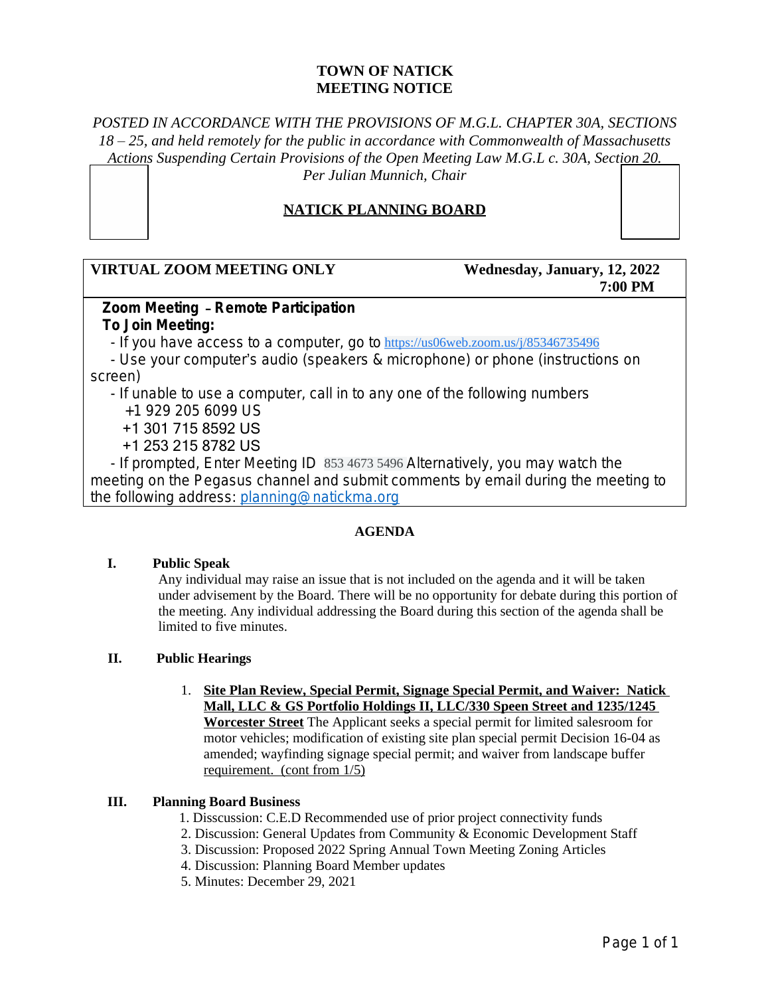# **TOWN OF NATICK MEETING NOTICE**

# *POSTED IN ACCORDANCE WITH THE PROVISIONS OF M.G.L. CHAPTER 30A, SECTIONS 18 – 25, and held remotely for the public in accordance with Commonwealth of Massachusetts Actions Suspending Certain Provisions of the Open Meeting Law M.G.L c. 30A, Section 20. Per Julian Munnich, Chair*

# **NATICK PLANNING BOARD**

# **VIRTUAL ZOOM MEETING ONLY Wednesday, January, 12, 2022**

# **7:00 PM**

### **Zoom Meeting** – **Remote Participation To Join Meeting:**

- If you have access to a computer, go to [https://us06web.zoom.us/j/85346735496](https://www.google.com/url?q=https://us06web.zoom.us/j/85346735496&sa=D&source=calendar&ust=1641911132597154&usg=AOvVaw0bvGyCKWR6dsUMy5HB7FJJ)

 - Use your computer's audio (speakers & microphone) or phone (instructions on screen)

- If unable to use a computer, call in to any one of the following numbers

+1 929 205 6099 US

+1 301 715 8592 US

+1 253 215 8782 US

 - If prompted, Enter Meeting ID 853 4673 5496 Alternatively, you may watch the meeting on the Pegasus channel and submit comments by email during the meeting to the following address: [planning@natickma.org](mailto:planning@natickma.org)

#### **AGENDA**

#### **I. Public Speak**

Any individual may raise an issue that is not included on the agenda and it will be taken under advisement by the Board. There will be no opportunity for debate during this portion of the meeting. Any individual addressing the Board during this section of the agenda shall be limited to five minutes.

#### **II. Public Hearings**

1. **Site Plan Review, Special Permit, Signage Special Permit, and Waiver: Natick Mall, LLC & GS Portfolio Holdings II, LLC/330 Speen Street and 1235/1245 Worcester Street** The Applicant seeks a special permit for limited salesroom for motor vehicles; modification of existing site plan special permit Decision 16-04 as amended; wayfinding signage special permit; and waiver from landscape buffer requirement. (cont from 1/5)

#### **III. Planning Board Business**

- 1. Disscussion: C.E.D Recommended use of prior project connectivity funds
- 2. Discussion: General Updates from Community & Economic Development Staff
- 3. Discussion: Proposed 2022 Spring Annual Town Meeting Zoning Articles
- 4. Discussion: Planning Board Member updates
- 5. Minutes: December 29, 2021